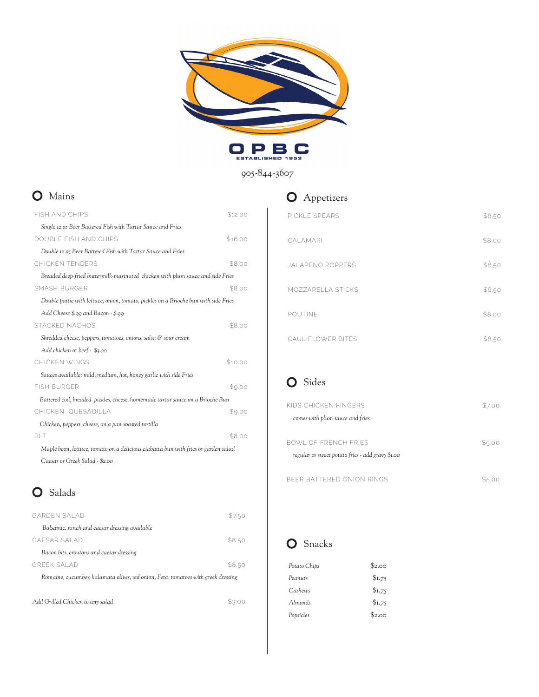



#### 905-844-3607

#### **O** Mains

| <b>FISH AND CHIPS</b>                                                               | \$12.00 |
|-------------------------------------------------------------------------------------|---------|
| Single 12 oz Beer Battered Fish with Tartar Sauce and Fries                         |         |
| DOUBLE FISH AND CHIPS                                                               | \$16.00 |
| Double 12 oz Beer Battered Fish with Tartar Sauce and Fries                         |         |
| CHICKEN TENDERS                                                                     | \$8.00  |
| Breaded deep-fried buttermilk-marinated chicken with plum sauce and side Fries      |         |
| SMASH BURGER                                                                        | \$8.00  |
| Double pattie with lettuce, onion, tomato, pickles on a Brioche bun with side Fries |         |
| Add Cheese \$.99 and Bacon - \$.99                                                  |         |
| <b>STACKED NACHOS</b>                                                               | \$8.00  |
| Shredded cheese, peppers, tomatoes, onions, salsa & sour cream                      |         |
| Add chicken or beef - \$3.00                                                        |         |
| CHICKEN WINGS                                                                       | \$10.00 |
| Sauces available: mild, medium, hot, honey garlic with side Fries                   |         |
| <b>FISH BURGER</b>                                                                  | \$9.00  |
| Battered cod, breaded pickles, cheese, homemade tartar sauce on a Brioche Bun       |         |
| CHICKEN QUESADILLA                                                                  | \$9.00  |
| Chicken, peppers, cheese, on a pan-roasted tortilla                                 |         |
| <b>BIT</b>                                                                          | \$8.00  |
| Maple bcon, lettuce, tomato on a delicious ciabatta bun with fries or garden salad  |         |
| Caesar or Greek Salad - \$2.00                                                      |         |

### O Salads

| GARDEN SALAD                                                                      | \$7.50 |
|-----------------------------------------------------------------------------------|--------|
| Balsamic, ranch and caesar dressing available                                     |        |
| CAESAR SALAD                                                                      | \$8.50 |
| Bacon bits, croutons and caesar dressing                                          |        |
| <b>GREEK SALAD</b>                                                                | \$8.50 |
| Romaine, cucumber, kalamata olives, red onion, Feta. tomatoes with greek dressing |        |
|                                                                                   |        |
| Add Grilled Chicken to any salad                                                  |        |

#### **O** Appetizers

| PICKLE SPEARS     | \$6.50 |
|-------------------|--------|
| CALAMARI          | \$8.00 |
| JAI APENO POPPERS | \$6.50 |
| MOZZARELLA STICKS | \$6.50 |
| POUTINE           | \$8.00 |
| CAULIFLOWER BITES | \$6.50 |

# O Sides

| KIDS CHICKEN FINGERS                             | \$7.00 |
|--------------------------------------------------|--------|
| comes with plum sauce and fries                  |        |
|                                                  |        |
| BOWL OF ERENCH ERIES                             | \$5.00 |
| regular or sweet potato fries - add gravy \$1.00 |        |
|                                                  |        |
| BEER BATTERED ONION RINGS                        |        |

## **O** Snacks

| Potato Chips | \$2.00 |
|--------------|--------|
| Peanuts      | \$1.75 |
| Cashews      | \$1.75 |
| Almonds      | \$1.75 |
| Popsicles    | \$2.00 |